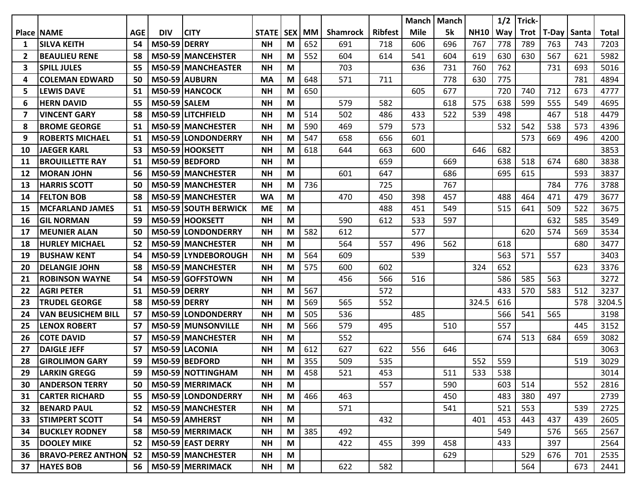|    |                           |            |                     |                             |              |         |           |                 |                | Manch       | <b>Manch</b> |             | 1/2 | Trick- |       |       |              |
|----|---------------------------|------------|---------------------|-----------------------------|--------------|---------|-----------|-----------------|----------------|-------------|--------------|-------------|-----|--------|-------|-------|--------------|
|    | <b>Place   NAME</b>       | <b>AGE</b> | <b>DIV</b>          | <b>CITY</b>                 | <b>STATE</b> | l SEX l | <b>MM</b> | <b>Shamrock</b> | <b>Ribfest</b> | <b>Mile</b> | 5k           | <b>NH10</b> | Way | Trot   | T-Day | Santa | <b>Total</b> |
| 1  | <b>SILVA KEITH</b>        | 54         | <b>M50-59 DERRY</b> |                             | <b>NH</b>    | M       | 652       | 691             | 718            | 606         | 696          | 767         | 778 | 789    | 763   | 743   | 7203         |
| 2  | <b>BEAULIEU RENE</b>      | 58         |                     | M50-59 MANCEHSTER           | <b>NH</b>    | M       | 552       | 604             | 614            | 541         | 604          | 619         | 630 | 630    | 567   | 621   | 5982         |
| 3  | <b>SPILL JULES</b>        | 55         |                     | M50-59 MANCHEASTER          | <b>NH</b>    | M       |           | 703             |                | 636         | 731          | 760         | 762 |        | 731   | 693   | 5016         |
| 4  | <b>COLEMAN EDWARD</b>     | 50         |                     | M50-59 AUBURN               | <b>MA</b>    | M       | 648       | 571             | 711            |             | 778          | 630         | 775 |        |       | 781   | 4894         |
| 5  | <b>LEWIS DAVE</b>         | 51         |                     | M50-59 HANCOCK              | <b>NH</b>    | M       | 650       |                 |                | 605         | 677          |             | 720 | 740    | 712   | 673   | 4777         |
| 6  | <b>HERN DAVID</b>         | 55         | <b>M50-59 SALEM</b> |                             | <b>NH</b>    | M       |           | 579             | 582            |             | 618          | 575         | 638 | 599    | 555   | 549   | 4695         |
| 7  | <b>VINCENT GARY</b>       | 58         |                     | M50-59 LITCHFIELD           | <b>NH</b>    | M       | 514       | 502             | 486            | 433         | 522          | 539         | 498 |        | 467   | 518   | 4479         |
| 8  | <b>BROME GEORGE</b>       | 51         |                     | M50-59 MANCHESTER           | <b>NH</b>    | M       | 590       | 469             | 579            | 573         |              |             | 532 | 542    | 538   | 573   | 4396         |
| 9  | <b>ROBERTS MICHAEL</b>    | 51         |                     | M50-59 LONDONDERRY          | <b>NH</b>    | M       | 547       | 658             | 656            | 601         |              |             |     | 573    | 669   | 496   | 4200         |
| 10 | <b>JAEGER KARL</b>        | 53         |                     | M50-59 HOOKSETT             | <b>NH</b>    | M       | 618       | 644             | 663            | 600         |              | 646         | 682 |        |       |       | 3853         |
| 11 | <b>BROUILLETTE RAY</b>    | 51         |                     | M50-59 BEDFORD              | <b>NH</b>    | M       |           |                 | 659            |             | 669          |             | 638 | 518    | 674   | 680   | 3838         |
| 12 | <b>MORAN JOHN</b>         | 56         |                     | M50-59 MANCHESTER           | <b>NH</b>    | M       |           | 601             | 647            |             | 686          |             | 695 | 615    |       | 593   | 3837         |
| 13 | <b>HARRIS SCOTT</b>       | 50         |                     | <b>M50-59 MANCHESTER</b>    | <b>NH</b>    | М       | 736       |                 | 725            |             | 767          |             |     |        | 784   | 776   | 3788         |
| 14 | <b>FELTON BOB</b>         | 58         |                     | M50-59 MANCHESTER           | <b>WA</b>    | M       |           | 470             | 450            | 398         | 457          |             | 488 | 464    | 471   | 479   | 3677         |
| 15 | <b>MCFARLAND JAMES</b>    | 51         |                     | <b>M50-59 SOUTH BERWICK</b> | <b>ME</b>    | M       |           |                 | 488            | 451         | 549          |             | 515 | 641    | 509   | 522   | 3675         |
| 16 | <b>GIL NORMAN</b>         | 59         |                     | M50-59 HOOKSETT             | <b>NH</b>    | M       |           | 590             | 612            | 533         | 597          |             |     |        | 632   | 585   | 3549         |
| 17 | <b>MEUNIER ALAN</b>       | 50         |                     | M50-59 LONDONDERRY          | <b>NH</b>    | M       | 582       | 612             |                | 577         |              |             |     | 620    | 574   | 569   | 3534         |
| 18 | <b>HURLEY MICHAEL</b>     | 52         |                     | M50-59 MANCHESTER           | <b>NH</b>    | M       |           | 564             | 557            | 496         | 562          |             | 618 |        |       | 680   | 3477         |
| 19 | <b>BUSHAW KENT</b>        | 54         |                     | M50-59 LYNDEBOROUGH         | <b>NH</b>    | M       | 564       | 609             |                | 539         |              |             | 563 | 571    | 557   |       | 3403         |
| 20 | <b>DELANGIE JOHN</b>      | 58         |                     | M50-59 MANCHESTER           | <b>NH</b>    | М       | 575       | 600             | 602            |             |              | 324         | 652 |        |       | 623   | 3376         |
| 21 | <b>ROBINSON WAYNE</b>     | 54         |                     | M50-59 GOFFSTOWN            | <b>NH</b>    | M       |           | 456             | 566            | 516         |              |             | 586 | 585    | 563   |       | 3272         |
| 22 | <b>AGRI PETER</b>         | 51         | <b>M50-59 DERRY</b> |                             | <b>NH</b>    | M       | 567       |                 | 572            |             |              |             | 433 | 570    | 583   | 512   | 3237         |
| 23 | <b>TRUDEL GEORGE</b>      | 58         | <b>M50-59 DERRY</b> |                             | <b>NH</b>    | M       | 569       | 565             | 552            |             |              | 324.5       | 616 |        |       | 578   | 3204.5       |
| 24 | <b>VAN BEUSICHEM BILL</b> | 57         |                     | M50-59 LONDONDERRY          | <b>NH</b>    | M       | 505       | 536             |                | 485         |              |             | 566 | 541    | 565   |       | 3198         |
| 25 | <b>LENOX ROBERT</b>       | 57         |                     | M50-59 MUNSONVILLE          | <b>NH</b>    | M       | 566       | 579             | 495            |             | 510          |             | 557 |        |       | 445   | 3152         |
| 26 | <b>COTE DAVID</b>         | 57         |                     | M50-59 MANCHESTER           | <b>NH</b>    | M       |           | 552             |                |             |              |             | 674 | 513    | 684   | 659   | 3082         |
| 27 | <b>DAIGLE JEFF</b>        | 57         |                     | M50-59 LACONIA              | <b>NH</b>    | M       | 612       | 627             | 622            | 556         | 646          |             |     |        |       |       | 3063         |
| 28 | <b>GIROLIMON GARY</b>     | 59         |                     | M50-59 BEDFORD              | <b>NH</b>    | M       | 355       | 509             | 535            |             |              | 552         | 559 |        |       | 519   | 3029         |
| 29 | <b>LARKIN GREGG</b>       | 59         |                     | M50-59 NOTTINGHAM           | <b>NH</b>    | М       | 458       | 521             | 453            |             | 511          | 533         | 538 |        |       |       | 3014         |
| 30 | <b>ANDERSON TERRY</b>     | 50         |                     | M50-59 MERRIMACK            | <b>NH</b>    | M       |           |                 | 557            |             | 590          |             | 603 | 514    |       | 552   | 2816         |
| 31 | <b>CARTER RICHARD</b>     | 55         |                     | M50-59 LONDONDERRY          | <b>NH</b>    | M       | 466       | 463             |                |             | 450          |             | 483 | 380    | 497   |       | 2739         |
| 32 | <b>BENARD PAUL</b>        | 52         |                     | M50-59 MANCHESTER           | <b>NH</b>    | M       |           | 571             |                |             | 541          |             | 521 | 553    |       | 539   | 2725         |
| 33 | <b>STIMPERT SCOTT</b>     | 54         |                     | M50-59 AMHERST              | <b>NH</b>    | M       |           |                 | 432            |             |              | 401         | 453 | 443    | 437   | 439   | 2605         |
| 34 | <b>BUCKLEY RODNEY</b>     | 58         |                     | M50-59 MERRIMACK            | <b>NH</b>    | M       | 385       | 492             |                |             |              |             | 549 |        | 576   | 565   | 2567         |
| 35 | <b>DOOLEY MIKE</b>        | 52         |                     | M50-59 EAST DERRY           | <b>NH</b>    | M       |           | 422             | 455            | 399         | 458          |             | 433 |        | 397   |       | 2564         |
| 36 | <b>BRAVO-PEREZ ANTHON</b> | 52         |                     | M50-59 MANCHESTER           | <b>NH</b>    | M       |           |                 |                |             | 629          |             |     | 529    | 676   | 701   | 2535         |
| 37 | <b>HAYES BOB</b>          | 56         |                     | M50-59 MERRIMACK            | <b>NH</b>    | M       |           | 622             | 582            |             |              |             |     | 564    |       | 673   | 2441         |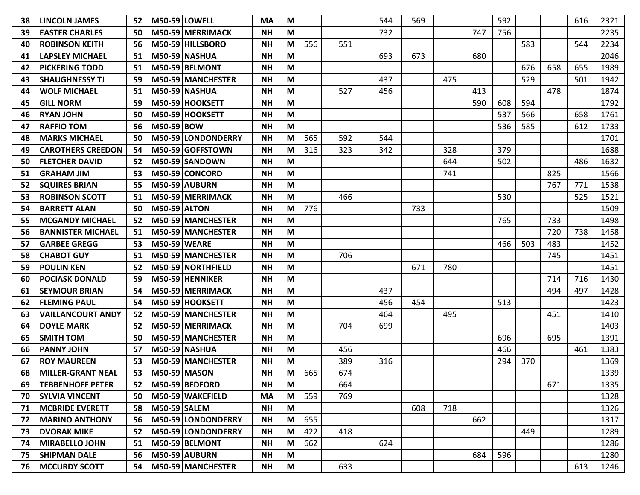| 38 | <b>ILINCOLN JAMES</b>     | 52 |                     | M50-59 LOWELL            | <b>MA</b> | M |     |     | 544 | 569 |     |     | 592 |     |     | 616 | 2321 |
|----|---------------------------|----|---------------------|--------------------------|-----------|---|-----|-----|-----|-----|-----|-----|-----|-----|-----|-----|------|
| 39 | <b>EASTER CHARLES</b>     | 50 |                     | M50-59 MERRIMACK         | <b>NH</b> | M |     |     | 732 |     |     | 747 | 756 |     |     |     | 2235 |
| 40 | <b>ROBINSON KEITH</b>     | 56 |                     | M50-59 HILLSBORO         | <b>NH</b> | M | 556 | 551 |     |     |     |     |     | 583 |     | 544 | 2234 |
| 41 | LAPSLEY MICHAEL           | 51 |                     | <b>M50-59 NASHUA</b>     | <b>NH</b> | M |     |     | 693 | 673 |     | 680 |     |     |     |     | 2046 |
| 42 | <b>PICKERING TODD</b>     | 51 |                     | M50-59 BELMONT           | <b>NH</b> | M |     |     |     |     |     |     |     | 676 | 658 | 655 | 1989 |
| 43 | <b>SHAUGHNESSY TJ</b>     | 59 |                     | M50-59 MANCHESTER        | <b>NH</b> | M |     |     | 437 |     | 475 |     |     | 529 |     | 501 | 1942 |
| 44 | <b>WOLF MICHAEL</b>       | 51 |                     | <b>M50-59 NASHUA</b>     | <b>NH</b> | M |     | 527 | 456 |     |     | 413 |     |     | 478 |     | 1874 |
| 45 | <b>GILL NORM</b>          | 59 |                     | M50-59 HOOKSETT          | ΝH        | M |     |     |     |     |     | 590 | 608 | 594 |     |     | 1792 |
| 46 | <b>RYAN JOHN</b>          | 50 |                     | M50-59 HOOKSETT          | <b>NH</b> | M |     |     |     |     |     |     | 537 | 566 |     | 658 | 1761 |
| 47 | <b>RAFFIO TOM</b>         | 56 | <b>M50-59 BOW</b>   |                          | <b>NH</b> | M |     |     |     |     |     |     | 536 | 585 |     | 612 | 1733 |
| 48 | <b>MARKS MICHAEL</b>      | 50 |                     | M50-59 LONDONDERRY       | <b>NH</b> | M | 565 | 592 | 544 |     |     |     |     |     |     |     | 1701 |
| 49 | CAROTHERS CREEDON         | 54 |                     | M50-59 GOFFSTOWN         | <b>NH</b> | M | 316 | 323 | 342 |     | 328 |     | 379 |     |     |     | 1688 |
| 50 | <b>FLETCHER DAVID</b>     | 52 |                     | M50-59 SANDOWN           | <b>NH</b> | M |     |     |     |     | 644 |     | 502 |     |     | 486 | 1632 |
| 51 | <b>GRAHAM JIM</b>         | 53 |                     | M50-59 CONCORD           | <b>NH</b> | M |     |     |     |     | 741 |     |     |     | 825 |     | 1566 |
| 52 | <b>SQUIRES BRIAN</b>      | 55 |                     | M50-59 AUBURN            | <b>NH</b> | M |     |     |     |     |     |     |     |     | 767 | 771 | 1538 |
| 53 | <b>IROBINSON SCOTT</b>    | 51 |                     | M50-59 MERRIMACK         | <b>NH</b> | M |     | 466 |     |     |     |     | 530 |     |     | 525 | 1521 |
| 54 | <b>BARRETT ALAN</b>       | 50 | <b>M50-59 ALTON</b> |                          | <b>NH</b> | M | 776 |     |     | 733 |     |     |     |     |     |     | 1509 |
| 55 | <b> MCGANDY MICHAEL</b>   | 52 |                     | M50-59 MANCHESTER        | <b>NH</b> | M |     |     |     |     |     |     | 765 |     | 733 |     | 1498 |
| 56 | <b>BANNISTER MICHAEL</b>  | 51 |                     | M50-59 MANCHESTER        | <b>NH</b> | M |     |     |     |     |     |     |     |     | 720 | 738 | 1458 |
| 57 | <b>GARBEE GREGG</b>       | 53 | <b>M50-59 WEARE</b> |                          | <b>NH</b> | M |     |     |     |     |     |     | 466 | 503 | 483 |     | 1452 |
| 58 | <b>CHABOT GUY</b>         | 51 |                     | M50-59 MANCHESTER        | <b>NH</b> | M |     | 706 |     |     |     |     |     |     | 745 |     | 1451 |
| 59 | <b>IPOULIN KEN</b>        | 52 |                     | <b>M50-59 NORTHFIELD</b> | <b>NH</b> | M |     |     |     | 671 | 780 |     |     |     |     |     | 1451 |
| 60 | <b>POCIASK DONALD</b>     | 59 |                     | M50-59 HENNIKER          | <b>NH</b> | M |     |     |     |     |     |     |     |     | 714 | 716 | 1430 |
| 61 | <b>SEYMOUR BRIAN</b>      | 54 |                     | M50-59 MERRIMACK         | <b>NH</b> | M |     |     | 437 |     |     |     |     |     | 494 | 497 | 1428 |
| 62 | <b>FLEMING PAUL</b>       | 54 |                     | M50-59 HOOKSETT          | <b>NH</b> | M |     |     | 456 | 454 |     |     | 513 |     |     |     | 1423 |
| 63 | <b>VAILLANCOURT ANDY</b>  | 52 |                     | M50-59 MANCHESTER        | <b>NH</b> | M |     |     | 464 |     | 495 |     |     |     | 451 |     | 1410 |
| 64 | <b>DOYLE MARK</b>         | 52 |                     | M50-59 MERRIMACK         | <b>NH</b> | M |     | 704 | 699 |     |     |     |     |     |     |     | 1403 |
| 65 | <b>SMITH TOM</b>          | 50 |                     | M50-59 MANCHESTER        | <b>NH</b> | M |     |     |     |     |     |     | 696 |     | 695 |     | 1391 |
| 66 | <b>PANNY JOHN</b>         | 57 |                     | M50-59 NASHUA            | <b>NH</b> | M |     | 456 |     |     |     |     | 466 |     |     | 461 | 1383 |
| 67 | <b>ROY MAUREEN</b>        | 53 |                     | M50-59 MANCHESTER        | <b>NH</b> | M |     | 389 | 316 |     |     |     | 294 | 370 |     |     | 1369 |
| 68 | <b>IMILLER-GRANT NEAL</b> | 53 |                     | <b>M50-59 MASON</b>      | <b>NH</b> | M | 665 | 674 |     |     |     |     |     |     |     |     | 1339 |
| 69 | <b>TEBBENHOFF PETER</b>   | 52 |                     | M50-59 BEDFORD           | <b>NH</b> | M |     | 664 |     |     |     |     |     |     | 671 |     | 1335 |
| 70 | <b>SYLVIA VINCENT</b>     | 50 |                     | M50-59 WAKEFIELD         | <b>MA</b> | M | 559 | 769 |     |     |     |     |     |     |     |     | 1328 |
| 71 | <b>MCBRIDE EVERETT</b>    | 58 | <b>M50-59 SALEM</b> |                          | <b>NH</b> | M |     |     |     | 608 | 718 |     |     |     |     |     | 1326 |
| 72 | <b>MARINO ANTHONY</b>     | 56 |                     | M50-59 LONDONDERRY       | <b>NH</b> | M | 655 |     |     |     |     | 662 |     |     |     |     | 1317 |
| 73 | <b>DVORAK MIKE</b>        | 52 |                     | M50-59 LONDONDERRY       | <b>NH</b> | M | 422 | 418 |     |     |     |     |     | 449 |     |     | 1289 |
| 74 | <b>MIRABELLO JOHN</b>     | 51 |                     | M50-59 BELMONT           | <b>NH</b> | M | 662 |     | 624 |     |     |     |     |     |     |     | 1286 |
| 75 | <b>SHIPMAN DALE</b>       | 56 |                     | M50-59 AUBURN            | <b>NH</b> | M |     |     |     |     |     | 684 | 596 |     |     |     | 1280 |
| 76 | <b>MCCURDY SCOTT</b>      | 54 |                     | M50-59 MANCHESTER        | NΗ        | M |     | 633 |     |     |     |     |     |     |     | 613 | 1246 |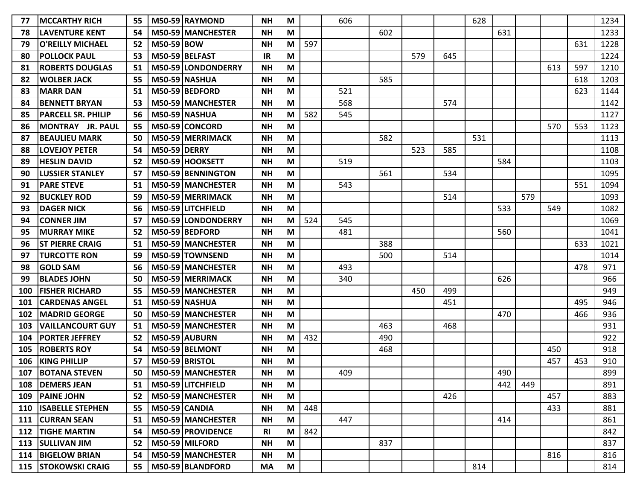| 77  | <b>MCCARTHY RICH</b>         | 55 |                     | M50-59 RAYMOND       | <b>NH</b> | M |     | 606 |     |     |     | 628 |     |     |     |     | 1234 |
|-----|------------------------------|----|---------------------|----------------------|-----------|---|-----|-----|-----|-----|-----|-----|-----|-----|-----|-----|------|
| 78  | <b>LAVENTURE KENT</b>        | 54 |                     | M50-59 MANCHESTER    | <b>NH</b> | М |     |     | 602 |     |     |     | 631 |     |     |     | 1233 |
| 79  | <b>O'REILLY MICHAEL</b>      | 52 | <b>M50-59 BOW</b>   |                      | <b>NH</b> | M | 597 |     |     |     |     |     |     |     |     | 631 | 1228 |
| 80  | <b>POLLOCK PAUL</b>          | 53 |                     | M50-59 BELFAST       | IR        | M |     |     |     | 579 | 645 |     |     |     |     |     | 1224 |
| 81  | <b>ROBERTS DOUGLAS</b>       | 51 |                     | M50-59 LONDONDERRY   | <b>NH</b> | M |     |     |     |     |     |     |     |     | 613 | 597 | 1210 |
| 82  | <b>WOLBER JACK</b>           | 55 |                     | M50-59 NASHUA        | <b>NH</b> | M |     |     | 585 |     |     |     |     |     |     | 618 | 1203 |
| 83  | <b>MARR DAN</b>              | 51 |                     | M50-59 BEDFORD       | <b>NH</b> | M |     | 521 |     |     |     |     |     |     |     | 623 | 1144 |
| 84  | <b>BENNETT BRYAN</b>         | 53 |                     | M50-59 MANCHESTER    | <b>NH</b> | M |     | 568 |     |     | 574 |     |     |     |     |     | 1142 |
| 85  | <b>PARCELL SR. PHILIP</b>    | 56 |                     | M50-59 NASHUA        | <b>NH</b> | M | 582 | 545 |     |     |     |     |     |     |     |     | 1127 |
| 86  | MONTRAY JR. PAUL             | 55 |                     | M50-59 CONCORD       | <b>NH</b> | M |     |     |     |     |     |     |     |     | 570 | 553 | 1123 |
| 87  | <b>BEAULIEU MARK</b>         | 50 |                     | M50-59 MERRIMACK     | <b>NH</b> | M |     |     | 582 |     |     | 531 |     |     |     |     | 1113 |
| 88  | <b>LOVEJOY PETER</b>         | 54 | <b>M50-59 DERRY</b> |                      | <b>NH</b> | M |     |     |     | 523 | 585 |     |     |     |     |     | 1108 |
| 89  | <b>HESLIN DAVID</b>          | 52 |                     | M50-59 HOOKSETT      | <b>NH</b> | M |     | 519 |     |     |     |     | 584 |     |     |     | 1103 |
| 90  | <b>LUSSIER STANLEY</b>       | 57 |                     | M50-59 BENNINGTON    | <b>NH</b> | M |     |     | 561 |     | 534 |     |     |     |     |     | 1095 |
| 91  | <b>PARE STEVE</b>            | 51 |                     | M50-59 MANCHESTER    | <b>NH</b> | M |     | 543 |     |     |     |     |     |     |     | 551 | 1094 |
| 92  | <b>BUCKLEY ROD</b>           | 59 |                     | M50-59 MERRIMACK     | <b>NH</b> | M |     |     |     |     | 514 |     |     | 579 |     |     | 1093 |
| 93  | <b>DAGER NICK</b>            | 56 |                     | M50-59 LITCHFIELD    | <b>NH</b> | М |     |     |     |     |     |     | 533 |     | 549 |     | 1082 |
| 94  | <b>CONNER JIM</b>            | 57 |                     | M50-59 LONDONDERRY   | <b>NH</b> | M | 524 | 545 |     |     |     |     |     |     |     |     | 1069 |
| 95  | <b>MURRAY MIKE</b>           | 52 |                     | M50-59 BEDFORD       | <b>NH</b> | M |     | 481 |     |     |     |     | 560 |     |     |     | 1041 |
| 96  | <b>ST PIERRE CRAIG</b>       | 51 |                     | M50-59 MANCHESTER    | <b>NH</b> | M |     |     | 388 |     |     |     |     |     |     | 633 | 1021 |
| 97  | <b>TURCOTTE RON</b>          | 59 |                     | M50-59 TOWNSEND      | <b>NH</b> | M |     |     | 500 |     | 514 |     |     |     |     |     | 1014 |
| 98  | <b>GOLD SAM</b>              | 56 |                     | M50-59 MANCHESTER    | <b>NH</b> | М |     | 493 |     |     |     |     |     |     |     | 478 | 971  |
| 99  | <b>BLADES JOHN</b>           | 50 |                     | M50-59 MERRIMACK     | <b>NH</b> | M |     | 340 |     |     |     |     | 626 |     |     |     | 966  |
| 100 | <b>FISHER RICHARD</b>        | 55 |                     | M50-59 MANCHESTER    | <b>NH</b> | M |     |     |     | 450 | 499 |     |     |     |     |     | 949  |
| 101 | <b>CARDENAS ANGEL</b>        | 51 |                     | <b>M50-59 NASHUA</b> | <b>NH</b> | M |     |     |     |     | 451 |     |     |     |     | 495 | 946  |
| 102 | <b>MADRID GEORGE</b>         | 50 |                     | M50-59 MANCHESTER    | <b>NH</b> | M |     |     |     |     |     |     | 470 |     |     | 466 | 936  |
| 103 | <b>VAILLANCOURT GUY</b>      | 51 |                     | M50-59   MANCHESTER  | <b>NH</b> | М |     |     | 463 |     | 468 |     |     |     |     |     | 931  |
| 104 | <b>PORTER JEFFREY</b>        | 52 |                     | M50-59 AUBURN        | <b>NH</b> | М | 432 |     | 490 |     |     |     |     |     |     |     | 922  |
| 105 | <b>ROBERTS ROY</b>           | 54 |                     | M50-59 BELMONT       | <b>NH</b> | M |     |     | 468 |     |     |     |     |     | 450 |     | 918  |
| 106 | <b>KING PHILLIP</b>          | 57 |                     | M50-59 BRISTOL       | <b>NH</b> | M |     |     |     |     |     |     |     |     | 457 | 453 | 910  |
| 107 | <b>BOTANA STEVEN</b>         | 50 |                     | M50-59 MANCHESTER    | <b>NH</b> | М |     | 409 |     |     |     |     | 490 |     |     |     | 899  |
| 108 | <b>DEMERS JEAN</b>           | 51 |                     | M50-59 LITCHFIELD    | <b>NH</b> | M |     |     |     |     |     |     | 442 | 449 |     |     | 891  |
|     | 109 PAINE JOHN               | 52 |                     | M50-59 MANCHESTER    | <b>NH</b> | M |     |     |     |     | 426 |     |     |     | 457 |     | 883  |
| 110 | <b>ISABELLE STEPHEN</b>      | 55 |                     | M50-59 CANDIA        | <b>NH</b> | M | 448 |     |     |     |     |     |     |     | 433 |     | 881  |
| 111 | <b>CURRAN SEAN</b>           | 51 |                     | M50-59 MANCHESTER    | <b>NH</b> | M |     | 447 |     |     |     |     | 414 |     |     |     | 861  |
| 112 | <b>TIGHE MARTIN</b>          | 54 |                     | M50-59 PROVIDENCE    | <b>RI</b> | M | 842 |     |     |     |     |     |     |     |     |     | 842  |
|     | 113   SULLIVAN JIM           | 52 |                     | M50-59 MILFORD       | <b>NH</b> | M |     |     | 837 |     |     |     |     |     |     |     | 837  |
|     | 114 BIGELOW BRIAN            | 54 |                     | M50-59 MANCHESTER    | <b>NH</b> | M |     |     |     |     |     |     |     |     | 816 |     | 816  |
|     | <b>115   STOKOWSKI CRAIG</b> | 55 |                     | M50-59 BLANDFORD     | MA        | M |     |     |     |     |     | 814 |     |     |     |     | 814  |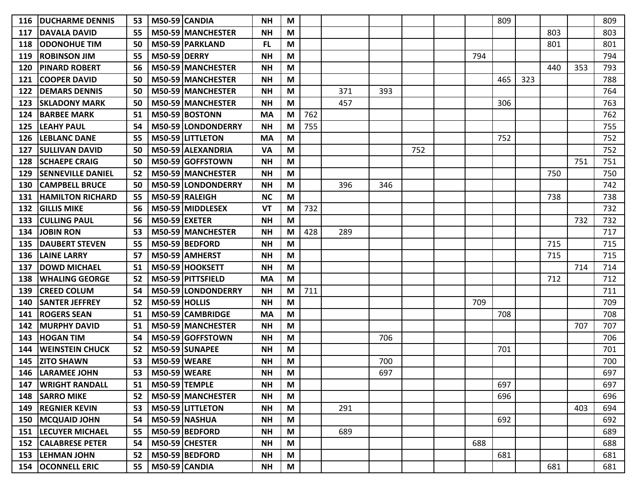| 116 | <b>IDUCHARME DENNIS</b>  | 53 |                      | M50-59 CANDIA        | <b>NH</b> | M |     |     |     |     |     | 809 |     |     |     | 809 |
|-----|--------------------------|----|----------------------|----------------------|-----------|---|-----|-----|-----|-----|-----|-----|-----|-----|-----|-----|
| 117 | <b>DAVALA DAVID</b>      | 55 |                      | M50-59 MANCHESTER    | <b>NH</b> | M |     |     |     |     |     |     |     | 803 |     | 803 |
| 118 | <b>ODONOHUE TIM</b>      | 50 |                      | M50-59 PARKLAND      | <b>FL</b> | M |     |     |     |     |     |     |     | 801 |     | 801 |
| 119 | <b>ROBINSON JIM</b>      | 55 | <b>M50-59 DERRY</b>  |                      | <b>NH</b> | M |     |     |     |     | 794 |     |     |     |     | 794 |
| 120 | <b>PINARD ROBERT</b>     | 56 |                      | M50-59 MANCHESTER    | <b>NH</b> | M |     |     |     |     |     |     |     | 440 | 353 | 793 |
| 121 | <b>COOPER DAVID</b>      | 50 |                      | M50-59 MANCHESTER    | <b>NH</b> | M |     |     |     |     |     | 465 | 323 |     |     | 788 |
| 122 | <b>DEMARS DENNIS</b>     | 50 |                      | M50-59 MANCHESTER    | <b>NH</b> | M |     | 371 | 393 |     |     |     |     |     |     | 764 |
| 123 | <b>SKLADONY MARK</b>     | 50 |                      | M50-59 MANCHESTER    | <b>NH</b> | M |     | 457 |     |     |     | 306 |     |     |     | 763 |
| 124 | <b>BARBEE MARK</b>       | 51 |                      | M50-59 BOSTONN       | МA        | M | 762 |     |     |     |     |     |     |     |     | 762 |
| 125 | <b>LEAHY PAUL</b>        | 54 |                      | M50-59 LONDONDERRY   | <b>NH</b> | М | 755 |     |     |     |     |     |     |     |     | 755 |
| 126 | <b>LEBLANC DANE</b>      | 55 |                      | M50-59 LITTLETON     | <b>MA</b> | M |     |     |     |     |     | 752 |     |     |     | 752 |
| 127 | <b>SULLIVAN DAVID</b>    | 50 |                      | M50-59 ALEXANDRIA    | <b>VA</b> | M |     |     |     | 752 |     |     |     |     |     | 752 |
| 128 | <b>SCHAEPE CRAIG</b>     | 50 |                      | M50-59 GOFFSTOWN     | <b>NH</b> | M |     |     |     |     |     |     |     |     | 751 | 751 |
| 129 | <b>SENNEVILLE DANIEL</b> | 52 |                      | M50-59 MANCHESTER    | <b>NH</b> | M |     |     |     |     |     |     |     | 750 |     | 750 |
| 130 | <b>CAMPBELL BRUCE</b>    | 50 |                      | M50-59 LONDONDERRY   | <b>NH</b> | M |     | 396 | 346 |     |     |     |     |     |     | 742 |
| 131 | <b>HAMILTON RICHARD</b>  | 55 |                      | M50-59 RALEIGH       | <b>NC</b> | M |     |     |     |     |     |     |     | 738 |     | 738 |
| 132 | <b>GILLIS MIKE</b>       | 56 |                      | M50-59 MIDDLESEX     | <b>VT</b> | M | 732 |     |     |     |     |     |     |     |     | 732 |
| 133 | <b>CULLING PAUL</b>      | 56 | <b>M50-59 EXETER</b> |                      | <b>NH</b> | M |     |     |     |     |     |     |     |     | 732 | 732 |
| 134 | <b>JOBIN RON</b>         | 53 |                      | M50-59 MANCHESTER    | <b>NH</b> | M | 428 | 289 |     |     |     |     |     |     |     | 717 |
| 135 | <b>DAUBERT STEVEN</b>    | 55 |                      | M50-59 BEDFORD       | <b>NH</b> | M |     |     |     |     |     |     |     | 715 |     | 715 |
| 136 | <b>LAINE LARRY</b>       | 57 |                      | M50-59 AMHERST       | <b>NH</b> | M |     |     |     |     |     |     |     | 715 |     | 715 |
| 137 | <b>DOWD MICHAEL</b>      | 51 |                      | M50-59 HOOKSETT      | <b>NH</b> | M |     |     |     |     |     |     |     |     | 714 | 714 |
| 138 | <b>WHALING GEORGE</b>    | 52 |                      | M50-59 PITTSFIELD    | <b>MA</b> | M |     |     |     |     |     |     |     | 712 |     | 712 |
| 139 | <b>CREED COLUM</b>       | 54 |                      | M50-59 LONDONDERRY   | <b>NH</b> | M | 711 |     |     |     |     |     |     |     |     | 711 |
| 140 | <b>SANTER JEFFREY</b>    | 52 | <b>M50-59 HOLLIS</b> |                      | <b>NH</b> | M |     |     |     |     | 709 |     |     |     |     | 709 |
| 141 | <b>ROGERS SEAN</b>       | 51 |                      | M50-59 CAMBRIDGE     | <b>MA</b> | M |     |     |     |     |     | 708 |     |     |     | 708 |
| 142 | <b>MURPHY DAVID</b>      | 51 |                      | M50-59 MANCHESTER    | <b>NH</b> | M |     |     |     |     |     |     |     |     | 707 | 707 |
| 143 | <b>HOGAN TIM</b>         | 54 |                      | M50-59 GOFFSTOWN     | <b>NH</b> | M |     |     | 706 |     |     |     |     |     |     | 706 |
| 144 | <b>WEINSTEIN CHUCK</b>   | 52 |                      | M50-59 SUNAPEE       | <b>NH</b> | M |     |     |     |     |     | 701 |     |     |     | 701 |
| 145 | <b>ZITO SHAWN</b>        | 53 | <b>M50-59 WEARE</b>  |                      | <b>NH</b> | M |     |     | 700 |     |     |     |     |     |     | 700 |
| 146 | <b>LARAMEE JOHN</b>      | 53 | <b>M50-59 WEARE</b>  |                      | <b>NH</b> | М |     |     | 697 |     |     |     |     |     |     | 697 |
| 147 | <b>WRIGHT RANDALL</b>    | 51 |                      | <b>M50-59 TEMPLE</b> | <b>NH</b> | M |     |     |     |     |     | 697 |     |     |     | 697 |
| 148 | <b>SARRO MIKE</b>        | 52 |                      | M50-59 MANCHESTER    | <b>NH</b> | M |     |     |     |     |     | 696 |     |     |     | 696 |
| 149 | <b>REGNIER KEVIN</b>     | 53 |                      | M50-59 LITTLETON     | <b>NH</b> | M |     | 291 |     |     |     |     |     |     | 403 | 694 |
| 150 | <b>MCQUAID JOHN</b>      | 54 |                      | $M50-59$ NASHUA      | <b>NH</b> | M |     |     |     |     |     | 692 |     |     |     | 692 |
| 151 | <b>LECUYER MICHAEL</b>   | 55 |                      | M50-59 BEDFORD       | <b>NH</b> | M |     | 689 |     |     |     |     |     |     |     | 689 |
| 152 | <b>CALABRESE PETER</b>   | 54 |                      | $M50-59$ CHESTER     | <b>NH</b> | M |     |     |     |     | 688 |     |     |     |     | 688 |
| 153 | <b>LEHMAN JOHN</b>       | 52 |                      | M50-59 BEDFORD       | <b>NH</b> | M |     |     |     |     |     | 681 |     |     |     | 681 |
|     | <b>154 OCONNELL ERIC</b> | 55 |                      | M50-59 CANDIA        | <b>NH</b> | M |     |     |     |     |     |     |     | 681 |     | 681 |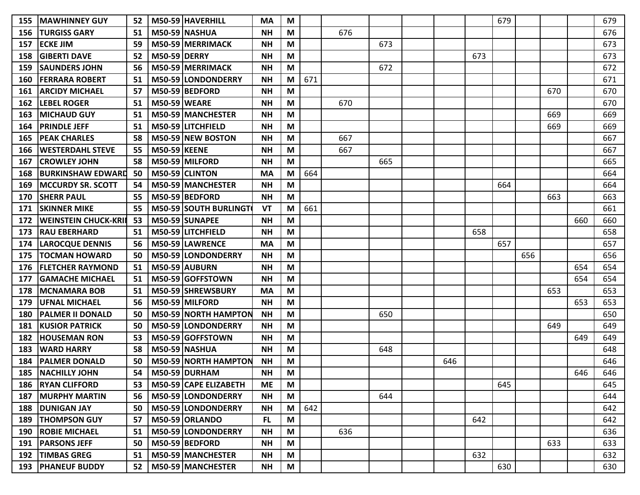| 155 | <b>MAWHINNEY GUY</b>        | 52 |                     | M50-59 HAVERHILL             | <b>MA</b> | M |     |     |     |     |     | 679 |     |     |     | 679 |
|-----|-----------------------------|----|---------------------|------------------------------|-----------|---|-----|-----|-----|-----|-----|-----|-----|-----|-----|-----|
| 156 | <b>TURGISS GARY</b>         | 51 |                     | M50-59 NASHUA                | <b>NH</b> | M |     | 676 |     |     |     |     |     |     |     | 676 |
| 157 | <b>ECKE JIM</b>             | 59 |                     | M50-59 MERRIMACK             | <b>NH</b> | M |     |     | 673 |     |     |     |     |     |     | 673 |
| 158 | <b>GIBERTI DAVE</b>         | 52 | <b>M50-59 DERRY</b> |                              | <b>NH</b> | M |     |     |     |     | 673 |     |     |     |     | 673 |
| 159 | <b>SAUNDERS JOHN</b>        | 56 |                     | M50-59 MERRIMACK             | <b>NH</b> | M |     |     | 672 |     |     |     |     |     |     | 672 |
| 160 | <b>FERRARA ROBERT</b>       | 51 |                     | M50-59 LONDONDERRY           | <b>NH</b> | M | 671 |     |     |     |     |     |     |     |     | 671 |
| 161 | <b>ARCIDY MICHAEL</b>       | 57 |                     | M50-59 BEDFORD               | <b>NH</b> | M |     |     |     |     |     |     |     | 670 |     | 670 |
| 162 | <b>LEBEL ROGER</b>          | 51 | <b>M50-59 WEARE</b> |                              | <b>NH</b> | M |     | 670 |     |     |     |     |     |     |     | 670 |
| 163 | <b>MICHAUD GUY</b>          | 51 |                     | M50-59 MANCHESTER            | <b>NH</b> | M |     |     |     |     |     |     |     | 669 |     | 669 |
| 164 | <b>PRINDLE JEFF</b>         | 51 |                     | M50-59 LITCHFIELD            | <b>NH</b> | M |     |     |     |     |     |     |     | 669 |     | 669 |
| 165 | <b>PEAK CHARLES</b>         | 58 |                     | M50-59 NEW BOSTON            | <b>NH</b> | M |     | 667 |     |     |     |     |     |     |     | 667 |
| 166 | <b>WESTERDAHL STEVE</b>     | 55 | <b>M50-59 KEENE</b> |                              | <b>NH</b> | M |     | 667 |     |     |     |     |     |     |     | 667 |
| 167 | <b>CROWLEY JOHN</b>         | 58 |                     | M50-59 MILFORD               | <b>NH</b> | M |     |     | 665 |     |     |     |     |     |     | 665 |
| 168 | <b>BURKINSHAW EDWARD</b>    | 50 |                     | M50-59 CLINTON               | <b>MA</b> | M | 664 |     |     |     |     |     |     |     |     | 664 |
| 169 | <b>MCCURDY SR. SCOTT</b>    | 54 |                     | M50-59 MANCHESTER            | <b>NH</b> | M |     |     |     |     |     | 664 |     |     |     | 664 |
| 170 | <b>SHERR PAUL</b>           | 55 |                     | M50-59 BEDFORD               | <b>NH</b> | M |     |     |     |     |     |     |     | 663 |     | 663 |
| 171 | <b>SKINNER MIKE</b>         | 55 |                     | <b>M50-59 SOUTH BURLINGT</b> | VT        | M | 661 |     |     |     |     |     |     |     |     | 661 |
| 172 | <b>WEINSTEIN CHUCK-KRII</b> | 53 |                     | M50-59 SUNAPEE               | <b>NH</b> | M |     |     |     |     |     |     |     |     | 660 | 660 |
| 173 | <b>RAU EBERHARD</b>         | 51 |                     | M50-59 LITCHFIELD            | <b>NH</b> | M |     |     |     |     | 658 |     |     |     |     | 658 |
| 174 | <b>LAROCQUE DENNIS</b>      | 56 |                     | M50-59 LAWRENCE              | <b>MA</b> | M |     |     |     |     |     | 657 |     |     |     | 657 |
| 175 | <b>TOCMAN HOWARD</b>        | 50 |                     | M50-59 LONDONDERRY           | <b>NH</b> | M |     |     |     |     |     |     | 656 |     |     | 656 |
| 176 | <b>FLETCHER RAYMOND</b>     | 51 |                     | M50-59 AUBURN                | <b>NH</b> | M |     |     |     |     |     |     |     |     | 654 | 654 |
| 177 | <b>GAMACHE MICHAEL</b>      | 51 |                     | M50-59 GOFFSTOWN             | <b>NH</b> | M |     |     |     |     |     |     |     |     | 654 | 654 |
| 178 | <b>MCNAMARA BOB</b>         | 51 |                     | M50-59 SHREWSBURY            | МA        | M |     |     |     |     |     |     |     | 653 |     | 653 |
| 179 | <b>UFNAL MICHAEL</b>        | 56 |                     | M50-59 MILFORD               | <b>NH</b> | M |     |     |     |     |     |     |     |     | 653 | 653 |
| 180 | <b>PALMER II DONALD</b>     | 50 |                     | <b>M50-59 NORTH HAMPTON</b>  | <b>NH</b> | M |     |     | 650 |     |     |     |     |     |     | 650 |
| 181 | <b>KUSIOR PATRICK</b>       | 50 |                     | M50-59 LONDONDERRY           | <b>NH</b> | M |     |     |     |     |     |     |     | 649 |     | 649 |
| 182 | <b>HOUSEMAN RON</b>         | 53 |                     | M50-59 GOFFSTOWN             | <b>NH</b> | M |     |     |     |     |     |     |     |     | 649 | 649 |
| 183 | <b>WARD HARRY</b>           | 58 |                     | <b>M50-59 NASHUA</b>         | <b>NH</b> | M |     |     | 648 |     |     |     |     |     |     | 648 |
| 184 | <b>PALMER DONALD</b>        | 50 |                     | M50-59 NORTH HAMPTON         | <b>NH</b> | M |     |     |     | 646 |     |     |     |     |     | 646 |
| 185 | <b>NACHILLY JOHN</b>        | 54 |                     | M50-59 DURHAM                | <b>NH</b> | М |     |     |     |     |     |     |     |     | 646 | 646 |
|     | 186   RYAN CLIFFORD         | 53 |                     | M50-59 CAPE ELIZABETH        | <b>ME</b> | M |     |     |     |     |     | 645 |     |     |     | 645 |
| 187 | <b>MURPHY MARTIN</b>        | 56 |                     | M50-59 LONDONDERRY           | <b>NH</b> | M |     |     | 644 |     |     |     |     |     |     | 644 |
| 188 | <b>DUNIGAN JAY</b>          | 50 |                     | M50-59 LONDONDERRY           | ΝH        | M | 642 |     |     |     |     |     |     |     |     | 642 |
|     | 189   THOMPSON GUY          | 57 |                     | M50-59 ORLANDO               | FL.       | M |     |     |     |     | 642 |     |     |     |     | 642 |
|     | <b>190 ROBIE MICHAEL</b>    | 51 |                     | M50-59 LONDONDERRY           | <b>NH</b> | M |     | 636 |     |     |     |     |     |     |     | 636 |
|     | 191   PARSONS JEFF          | 50 |                     | M50-59 BEDFORD               | <b>NH</b> | M |     |     |     |     |     |     |     | 633 |     | 633 |
| 192 | <b>TIMBAS GREG</b>          | 51 |                     | M50-59 MANCHESTER            | <b>NH</b> | M |     |     |     |     | 632 |     |     |     |     | 632 |
|     | <b>193   PHANEUF BUDDY</b>  | 52 |                     | M50-59 MANCHESTER            | <b>NH</b> | M |     |     |     |     |     | 630 |     |     |     | 630 |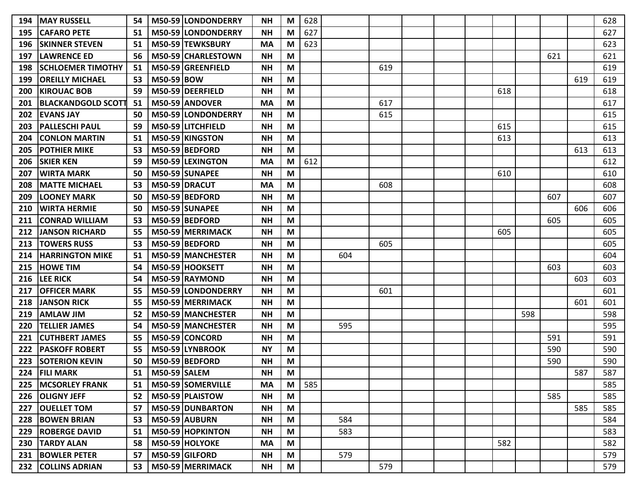| 194 | <b>MAY RUSSELL</b>        | 54 |                     | M50-59 LONDONDERRY  | <b>NH</b> | M | 628 |     |     |  |     |     |     |     | 628 |
|-----|---------------------------|----|---------------------|---------------------|-----------|---|-----|-----|-----|--|-----|-----|-----|-----|-----|
| 195 | <b>CAFARO PETE</b>        | 51 |                     | M50-59 LONDONDERRY  | <b>NH</b> | M | 627 |     |     |  |     |     |     |     | 627 |
| 196 | <b>SKINNER STEVEN</b>     | 51 |                     | M50-59 TEWKSBURY    | <b>MA</b> | M | 623 |     |     |  |     |     |     |     | 623 |
| 197 | <b>LAWRENCE ED</b>        | 56 |                     | M50-59 CHARLESTOWN  | <b>NH</b> | M |     |     |     |  |     |     | 621 |     | 621 |
| 198 | <b>SCHLOEMER TIMOTHY</b>  | 51 |                     | M50-59 GREENFIELD   | <b>NH</b> | M |     |     | 619 |  |     |     |     |     | 619 |
| 199 | <b>OREILLY MICHAEL</b>    | 53 | M50-59 BOW          |                     | <b>NH</b> | M |     |     |     |  |     |     |     | 619 | 619 |
| 200 | <b>KIROUAC BOB</b>        | 59 |                     | M50-59 DEERFIELD    | <b>NH</b> | M |     |     |     |  | 618 |     |     |     | 618 |
| 201 | <b>BLACKANDGOLD SCOTT</b> | 51 |                     | M50-59 ANDOVER      | <b>MA</b> | M |     |     | 617 |  |     |     |     |     | 617 |
| 202 | <b>EVANS JAY</b>          | 50 |                     | M50-59 LONDONDERRY  | <b>NH</b> | M |     |     | 615 |  |     |     |     |     | 615 |
| 203 | <b>PALLESCHI PAUL</b>     | 59 |                     | M50-59 LITCHFIELD   | <b>NH</b> | M |     |     |     |  | 615 |     |     |     | 615 |
| 204 | <b>CONLON MARTIN</b>      | 51 |                     | M50-59 KINGSTON     | <b>NH</b> | M |     |     |     |  | 613 |     |     |     | 613 |
| 205 | <b>POTHIER MIKE</b>       | 53 |                     | M50-59 BEDFORD      | <b>NH</b> | M |     |     |     |  |     |     |     | 613 | 613 |
| 206 | <b>SKIER KEN</b>          | 59 |                     | M50-59 LEXINGTON    | <b>MA</b> | M | 612 |     |     |  |     |     |     |     | 612 |
| 207 | <b>WIRTA MARK</b>         | 50 |                     | M50-59 SUNAPEE      | <b>NH</b> | M |     |     |     |  | 610 |     |     |     | 610 |
| 208 | <b>MATTE MICHAEL</b>      | 53 |                     | M50-59 DRACUT       | <b>MA</b> | M |     |     | 608 |  |     |     |     |     | 608 |
| 209 | <b>LOONEY MARK</b>        | 50 |                     | M50-59 BEDFORD      | <b>NH</b> | M |     |     |     |  |     |     | 607 |     | 607 |
| 210 | <b>WIRTA HERMIE</b>       | 50 |                     | M50-59 SUNAPEE      | <b>NH</b> | M |     |     |     |  |     |     |     | 606 | 606 |
| 211 | <b>CONRAD WILLIAM</b>     | 53 |                     | M50-59 BEDFORD      | <b>NH</b> | M |     |     |     |  |     |     | 605 |     | 605 |
| 212 | <b>JANSON RICHARD</b>     | 55 |                     | M50-59 MERRIMACK    | <b>NH</b> | M |     |     |     |  | 605 |     |     |     | 605 |
| 213 | <b>TOWERS RUSS</b>        | 53 |                     | M50-59 BEDFORD      | <b>NH</b> | M |     |     | 605 |  |     |     |     |     | 605 |
| 214 | <b>HARRINGTON MIKE</b>    | 51 |                     | M50-59 MANCHESTER   | <b>NH</b> | M |     | 604 |     |  |     |     |     |     | 604 |
| 215 | <b>HOWE TIM</b>           | 54 |                     | M50-59 HOOKSETT     | <b>NH</b> | M |     |     |     |  |     |     | 603 |     | 603 |
| 216 | <b>LEE RICK</b>           | 54 |                     | M50-59 RAYMOND      | <b>NH</b> | M |     |     |     |  |     |     |     | 603 | 603 |
| 217 | <b>OFFICER MARK</b>       | 55 |                     | M50-59 LONDONDERRY  | <b>NH</b> | M |     |     | 601 |  |     |     |     |     | 601 |
| 218 | <b>JANSON RICK</b>        | 55 |                     | M50-59 MERRIMACK    | <b>NH</b> | M |     |     |     |  |     |     |     | 601 | 601 |
| 219 | <b>AMLAW JIM</b>          | 52 |                     | M50-59 MANCHESTER   | <b>NH</b> | M |     |     |     |  |     | 598 |     |     | 598 |
| 220 | <b>TELLIER JAMES</b>      | 54 |                     | M50-59   MANCHESTER | <b>NH</b> | M |     | 595 |     |  |     |     |     |     | 595 |
| 221 | <b>CUTHBERT JAMES</b>     | 55 |                     | M50-59 CONCORD      | <b>NH</b> | M |     |     |     |  |     |     | 591 |     | 591 |
| 222 | <b>PASKOFF ROBERT</b>     | 55 |                     | M50-59 LYNBROOK     | <b>NY</b> | M |     |     |     |  |     |     | 590 |     | 590 |
| 223 | <b>SOTERION KEVIN</b>     | 50 |                     | M50-59 BEDFORD      | <b>NH</b> | M |     |     |     |  |     |     | 590 |     | 590 |
| 224 | <b>FILI MARK</b>          | 51 | <b>M50-59 SALEM</b> |                     | <b>NH</b> | M |     |     |     |  |     |     |     | 587 | 587 |
| 225 | <b>MCSORLEY FRANK</b>     | 51 |                     | M50-59 SOMERVILLE   | <b>MA</b> | M | 585 |     |     |  |     |     |     |     | 585 |
| 226 | <b>OLIGNY JEFF</b>        | 52 |                     | M50-59 PLAISTOW     | <b>NH</b> | M |     |     |     |  |     |     | 585 |     | 585 |
| 227 | <b>OUELLET TOM</b>        | 57 |                     | M50-59 DUNBARTON    | <b>NH</b> | M |     |     |     |  |     |     |     | 585 | 585 |
| 228 | <b>BOWEN BRIAN</b>        | 53 |                     | M50-59 AUBURN       | <b>NH</b> | M |     | 584 |     |  |     |     |     |     | 584 |
| 229 | <b>ROBERGE DAVID</b>      | 51 |                     | M50-59 HOPKINTON    | <b>NH</b> | M |     | 583 |     |  |     |     |     |     | 583 |
| 230 | <b>TARDY ALAN</b>         | 58 |                     | M50-59 HOLYOKE      | <b>MA</b> | M |     |     |     |  | 582 |     |     |     | 582 |
|     | 231   BOWLER PETER        | 57 |                     | M50-59 GILFORD      | <b>NH</b> | M |     | 579 |     |  |     |     |     |     | 579 |
|     | 232 COLLINS ADRIAN        | 53 |                     | M50-59 MERRIMACK    | <b>NH</b> | M |     |     | 579 |  |     |     |     |     | 579 |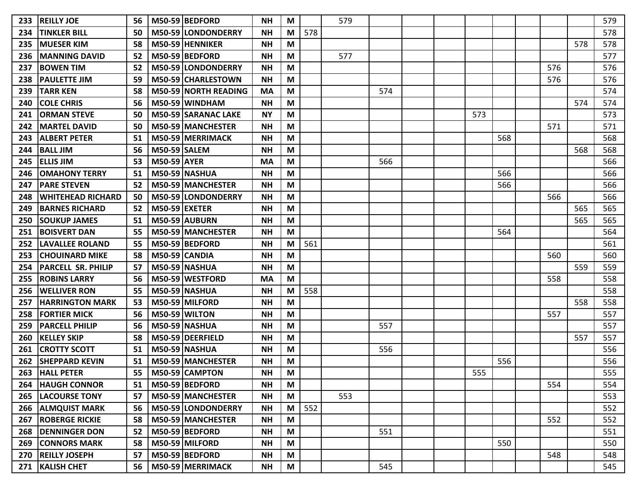| <b>REILLY JOE</b>         | 56 |  | <b>NH</b>                                                                                                                                                                                                                                                                                                                                                                                                                                                                                                                                                                                                                                                                                                                                                                                                                             | M |     | 579 |     |  |     |     |     |     | 579 |
|---------------------------|----|--|---------------------------------------------------------------------------------------------------------------------------------------------------------------------------------------------------------------------------------------------------------------------------------------------------------------------------------------------------------------------------------------------------------------------------------------------------------------------------------------------------------------------------------------------------------------------------------------------------------------------------------------------------------------------------------------------------------------------------------------------------------------------------------------------------------------------------------------|---|-----|-----|-----|--|-----|-----|-----|-----|-----|
| <b>TINKLER BILL</b>       | 50 |  | <b>NH</b>                                                                                                                                                                                                                                                                                                                                                                                                                                                                                                                                                                                                                                                                                                                                                                                                                             | M | 578 |     |     |  |     |     |     |     | 578 |
| <b>MUESER KIM</b>         | 58 |  | <b>NH</b>                                                                                                                                                                                                                                                                                                                                                                                                                                                                                                                                                                                                                                                                                                                                                                                                                             | M |     |     |     |  |     |     |     | 578 | 578 |
| <b>MANNING DAVID</b>      | 52 |  | <b>NH</b>                                                                                                                                                                                                                                                                                                                                                                                                                                                                                                                                                                                                                                                                                                                                                                                                                             | M |     | 577 |     |  |     |     |     |     | 577 |
| <b>BOWEN TIM</b>          | 52 |  | <b>NH</b>                                                                                                                                                                                                                                                                                                                                                                                                                                                                                                                                                                                                                                                                                                                                                                                                                             | M |     |     |     |  |     |     | 576 |     | 576 |
| <b>PAULETTE JIM</b>       | 59 |  | <b>NH</b>                                                                                                                                                                                                                                                                                                                                                                                                                                                                                                                                                                                                                                                                                                                                                                                                                             | M |     |     |     |  |     |     | 576 |     | 576 |
| ITARR KEN                 | 58 |  | <b>MA</b>                                                                                                                                                                                                                                                                                                                                                                                                                                                                                                                                                                                                                                                                                                                                                                                                                             | M |     |     | 574 |  |     |     |     |     | 574 |
| <b>COLE CHRIS</b>         | 56 |  | <b>NH</b>                                                                                                                                                                                                                                                                                                                                                                                                                                                                                                                                                                                                                                                                                                                                                                                                                             | M |     |     |     |  |     |     |     | 574 | 574 |
| <b>ORMAN STEVE</b>        | 50 |  | <b>NY</b>                                                                                                                                                                                                                                                                                                                                                                                                                                                                                                                                                                                                                                                                                                                                                                                                                             | M |     |     |     |  | 573 |     |     |     | 573 |
| <b>IMARTEL DAVID</b>      | 50 |  | <b>NH</b>                                                                                                                                                                                                                                                                                                                                                                                                                                                                                                                                                                                                                                                                                                                                                                                                                             | М |     |     |     |  |     |     | 571 |     | 571 |
| <b>ALBERT PETER</b>       | 51 |  | <b>NH</b>                                                                                                                                                                                                                                                                                                                                                                                                                                                                                                                                                                                                                                                                                                                                                                                                                             | M |     |     |     |  |     | 568 |     |     | 568 |
| <b>BALL JIM</b>           | 56 |  | <b>NH</b>                                                                                                                                                                                                                                                                                                                                                                                                                                                                                                                                                                                                                                                                                                                                                                                                                             | M |     |     |     |  |     |     |     | 568 | 568 |
| <b>ELLIS JIM</b>          | 53 |  | <b>MA</b>                                                                                                                                                                                                                                                                                                                                                                                                                                                                                                                                                                                                                                                                                                                                                                                                                             | M |     |     | 566 |  |     |     |     |     | 566 |
| <b>OMAHONY TERRY</b>      | 51 |  | NΗ                                                                                                                                                                                                                                                                                                                                                                                                                                                                                                                                                                                                                                                                                                                                                                                                                                    | M |     |     |     |  |     | 566 |     |     | 566 |
| <b>PARE STEVEN</b>        | 52 |  | <b>NH</b>                                                                                                                                                                                                                                                                                                                                                                                                                                                                                                                                                                                                                                                                                                                                                                                                                             | M |     |     |     |  |     | 566 |     |     | 566 |
| <b>WHITEHEAD RICHARD</b>  | 50 |  | <b>NH</b>                                                                                                                                                                                                                                                                                                                                                                                                                                                                                                                                                                                                                                                                                                                                                                                                                             | M |     |     |     |  |     |     | 566 |     | 566 |
| <b>IBARNES RICHARD</b>    | 52 |  | <b>NH</b>                                                                                                                                                                                                                                                                                                                                                                                                                                                                                                                                                                                                                                                                                                                                                                                                                             | M |     |     |     |  |     |     |     | 565 | 565 |
| <b>SOUKUP JAMES</b>       | 51 |  | <b>NH</b>                                                                                                                                                                                                                                                                                                                                                                                                                                                                                                                                                                                                                                                                                                                                                                                                                             | M |     |     |     |  |     |     |     | 565 | 565 |
| <b>BOISVERT DAN</b>       | 55 |  | <b>NH</b>                                                                                                                                                                                                                                                                                                                                                                                                                                                                                                                                                                                                                                                                                                                                                                                                                             | M |     |     |     |  |     | 564 |     |     | 564 |
| <b>ILAVALLEE ROLAND</b>   | 55 |  | <b>NH</b>                                                                                                                                                                                                                                                                                                                                                                                                                                                                                                                                                                                                                                                                                                                                                                                                                             | M | 561 |     |     |  |     |     |     |     | 561 |
| <b>ICHOUINARD MIKE</b>    | 58 |  | <b>NH</b>                                                                                                                                                                                                                                                                                                                                                                                                                                                                                                                                                                                                                                                                                                                                                                                                                             | M |     |     |     |  |     |     | 560 |     | 560 |
| <b>PARCELL SR. PHILIP</b> | 57 |  | <b>NH</b>                                                                                                                                                                                                                                                                                                                                                                                                                                                                                                                                                                                                                                                                                                                                                                                                                             | M |     |     |     |  |     |     |     | 559 | 559 |
| <b>ROBINS LARRY</b>       | 56 |  | <b>MA</b>                                                                                                                                                                                                                                                                                                                                                                                                                                                                                                                                                                                                                                                                                                                                                                                                                             | M |     |     |     |  |     |     | 558 |     | 558 |
| <b>WELLIVER RON</b>       | 55 |  | <b>NH</b>                                                                                                                                                                                                                                                                                                                                                                                                                                                                                                                                                                                                                                                                                                                                                                                                                             | M | 558 |     |     |  |     |     |     |     | 558 |
| <b>HARRINGTON MARK</b>    | 53 |  | <b>NH</b>                                                                                                                                                                                                                                                                                                                                                                                                                                                                                                                                                                                                                                                                                                                                                                                                                             | M |     |     |     |  |     |     |     | 558 | 558 |
| <b>FORTIER MICK</b>       | 56 |  | <b>NH</b>                                                                                                                                                                                                                                                                                                                                                                                                                                                                                                                                                                                                                                                                                                                                                                                                                             | M |     |     |     |  |     |     | 557 |     | 557 |
| <b>PARCELL PHILIP</b>     | 56 |  | <b>NH</b>                                                                                                                                                                                                                                                                                                                                                                                                                                                                                                                                                                                                                                                                                                                                                                                                                             | M |     |     | 557 |  |     |     |     |     | 557 |
| <b>KELLEY SKIP</b>        | 58 |  | <b>NH</b>                                                                                                                                                                                                                                                                                                                                                                                                                                                                                                                                                                                                                                                                                                                                                                                                                             | M |     |     |     |  |     |     |     | 557 | 557 |
| <b>ICROTTY SCOTT</b>      | 51 |  | <b>NH</b>                                                                                                                                                                                                                                                                                                                                                                                                                                                                                                                                                                                                                                                                                                                                                                                                                             | M |     |     | 556 |  |     |     |     |     | 556 |
| <b>SHEPPARD KEVIN</b>     | 51 |  | <b>NH</b>                                                                                                                                                                                                                                                                                                                                                                                                                                                                                                                                                                                                                                                                                                                                                                                                                             | M |     |     |     |  |     | 556 |     |     | 556 |
| <b>HALL PETER</b>         | 55 |  | <b>NH</b>                                                                                                                                                                                                                                                                                                                                                                                                                                                                                                                                                                                                                                                                                                                                                                                                                             | M |     |     |     |  | 555 |     |     |     | 555 |
| <b>264 HAUGH CONNOR</b>   | 51 |  | <b>NH</b>                                                                                                                                                                                                                                                                                                                                                                                                                                                                                                                                                                                                                                                                                                                                                                                                                             | M |     |     |     |  |     |     | 554 |     | 554 |
| <b>265 LACOURSE TONY</b>  | 57 |  | <b>NH</b>                                                                                                                                                                                                                                                                                                                                                                                                                                                                                                                                                                                                                                                                                                                                                                                                                             | M |     | 553 |     |  |     |     |     |     | 553 |
| <b>266 ALMQUIST MARK</b>  | 56 |  | <b>NH</b>                                                                                                                                                                                                                                                                                                                                                                                                                                                                                                                                                                                                                                                                                                                                                                                                                             | M | 552 |     |     |  |     |     |     |     | 552 |
| <b>ROBERGE RICKIE</b>     | 58 |  | <b>NH</b>                                                                                                                                                                                                                                                                                                                                                                                                                                                                                                                                                                                                                                                                                                                                                                                                                             | M |     |     |     |  |     |     | 552 |     | 552 |
| 268 DENNINGER DON         | 52 |  | <b>NH</b>                                                                                                                                                                                                                                                                                                                                                                                                                                                                                                                                                                                                                                                                                                                                                                                                                             | M |     |     | 551 |  |     |     |     |     | 551 |
| 269 CONNORS MARK          | 58 |  | <b>NH</b>                                                                                                                                                                                                                                                                                                                                                                                                                                                                                                                                                                                                                                                                                                                                                                                                                             | M |     |     |     |  |     | 550 |     |     | 550 |
| 270 REILLY JOSEPH         | 57 |  | <b>NH</b>                                                                                                                                                                                                                                                                                                                                                                                                                                                                                                                                                                                                                                                                                                                                                                                                                             | M |     |     |     |  |     |     | 548 |     | 548 |
| 271   KALISH CHET         | 56 |  | <b>NH</b>                                                                                                                                                                                                                                                                                                                                                                                                                                                                                                                                                                                                                                                                                                                                                                                                                             | M |     |     | 545 |  |     |     |     |     | 545 |
|                           |    |  | M50-59 BEDFORD<br>M50-59 LONDONDERRY<br>M50-59 HENNIKER<br>M50-59 BEDFORD<br>M50-59 LONDONDERRY<br>M50-59 CHARLESTOWN<br><b>M50-59 NORTH READING</b><br>M50-59 WINDHAM<br><b>M50-59 SARANAC LAKE</b><br><b>M50-59 IMANCHESTER</b><br>M50-59 MERRIMACK<br><b>M50-59 SALEM</b><br><b>M50-59 AYER</b><br>M50-59 NASHUA<br>M50-59 MANCHESTER<br>M50-59 LONDONDERRY<br><b>M50-59 EXETER</b><br>M50-59 AUBURN<br>M50-59 MANCHESTER<br>M50-59 BEDFORD<br>M50-59 CANDIA<br>M50-59 NASHUA<br>M50-59 WESTFORD<br><b>M50-59 NASHUA</b><br>M50-59 MILFORD<br>M50-59 WILTON<br><b>M50-59 NASHUA</b><br>M50-59 DEERFIELD<br><b>M50-59 NASHUA</b><br>M50-59 MANCHESTER<br>M50-59 CAMPTON<br>M50-59 BEDFORD<br>M50-59 MANCHESTER<br>M50-59 LONDONDERRY<br>M50-59 MANCHESTER<br>M50-59 BEDFORD<br>M50-59 MILFORD<br>M50-59 BEDFORD<br>M50-59 MERRIMACK |   |     |     |     |  |     |     |     |     |     |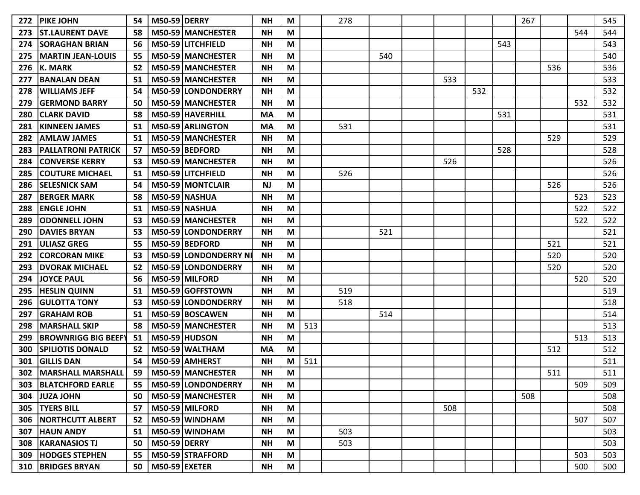| 272 | <b>PIKE JOHN</b>              | 54 | <b>M50-59 DERRY</b> |                          | <b>NH</b> | M |     | 278 |     |     |     |     | 267 |     |     | 545 |
|-----|-------------------------------|----|---------------------|--------------------------|-----------|---|-----|-----|-----|-----|-----|-----|-----|-----|-----|-----|
| 273 | <b>ST.LAURENT DAVE</b>        | 58 |                     | M50-59 MANCHESTER        | <b>NH</b> | M |     |     |     |     |     |     |     |     | 544 | 544 |
| 274 | <b>ISORAGHAN BRIAN</b>        | 56 |                     | M50-59 LITCHFIELD        | <b>NH</b> | M |     |     |     |     |     | 543 |     |     |     | 543 |
| 275 | <b>MARTIN JEAN-LOUIS</b>      | 55 |                     | <b>M50-59 MANCHESTER</b> | <b>NH</b> | M |     |     | 540 |     |     |     |     |     |     | 540 |
| 276 | <b>K. MARK</b>                | 52 |                     | M50-59 MANCHESTER        | <b>NH</b> | M |     |     |     |     |     |     |     | 536 |     | 536 |
| 277 | <b>BANALAN DEAN</b>           | 51 |                     | M50-59 MANCHESTER        | <b>NH</b> | M |     |     |     | 533 |     |     |     |     |     | 533 |
| 278 | <b>WILLIAMS JEFF</b>          | 54 |                     | M50-59 LONDONDERRY       | <b>NH</b> | M |     |     |     |     | 532 |     |     |     |     | 532 |
| 279 | <b>GERMOND BARRY</b>          | 50 |                     | M50-59 MANCHESTER        | ΝH        | M |     |     |     |     |     |     |     |     | 532 | 532 |
| 280 | <b>CLARK DAVID</b>            | 58 |                     | M50-59 HAVERHILL         | МA        | M |     |     |     |     |     | 531 |     |     |     | 531 |
| 281 | <b>KINNEEN JAMES</b>          | 51 |                     | M50-59 ARLINGTON         | MA        | M |     | 531 |     |     |     |     |     |     |     | 531 |
| 282 | <b>AMLAW JAMES</b>            | 51 |                     | M50-59 MANCHESTER        | <b>NH</b> | M |     |     |     |     |     |     |     | 529 |     | 529 |
| 283 | <b>PALLATRONI PATRICK</b>     | 57 |                     | M50-59 BEDFORD           | <b>NH</b> | M |     |     |     |     |     | 528 |     |     |     | 528 |
| 284 | <b>CONVERSE KERRY</b>         | 53 |                     | M50-59 MANCHESTER        | <b>NH</b> | M |     |     |     | 526 |     |     |     |     |     | 526 |
| 285 | <b>COUTURE MICHAEL</b>        | 51 |                     | M50-59 LITCHFIELD        | <b>NH</b> | M |     | 526 |     |     |     |     |     |     |     | 526 |
| 286 | <b>SELESNICK SAM</b>          | 54 |                     | M50-59 MONTCLAIR         | <b>NJ</b> | M |     |     |     |     |     |     |     | 526 |     | 526 |
| 287 | <b>BERGER MARK</b>            | 58 |                     | M50-59 NASHUA            | <b>NH</b> | M |     |     |     |     |     |     |     |     | 523 | 523 |
| 288 | <b>ENGLE JOHN</b>             | 51 |                     | M50-59 NASHUA            | <b>NH</b> | M |     |     |     |     |     |     |     |     | 522 | 522 |
| 289 | <b>ODONNELL JOHN</b>          | 53 |                     | M50-59 MANCHESTER        | <b>NH</b> | M |     |     |     |     |     |     |     |     | 522 | 522 |
| 290 | <b>DAVIES BRYAN</b>           | 53 |                     | M50-59 LONDONDERRY       | <b>NH</b> | M |     |     | 521 |     |     |     |     |     |     | 521 |
| 291 | <b>ULIASZ GREG</b>            | 55 |                     | M50-59 BEDFORD           | <b>NH</b> | M |     |     |     |     |     |     |     | 521 |     | 521 |
| 292 | <b>CORCORAN MIKE</b>          | 53 |                     | M50-59 LONDONDERRY N     | <b>NH</b> | M |     |     |     |     |     |     |     | 520 |     | 520 |
| 293 | <b>DVORAK MICHAEL</b>         | 52 |                     | M50-59 LONDONDERRY       | ΝH        | M |     |     |     |     |     |     |     | 520 |     | 520 |
| 294 | <b>JOYCE PAUL</b>             | 56 |                     | M50-59 MILFORD           | <b>NH</b> | M |     |     |     |     |     |     |     |     | 520 | 520 |
| 295 | <b>HESLIN QUINN</b>           | 51 |                     | M50-59 GOFFSTOWN         | <b>NH</b> | M |     | 519 |     |     |     |     |     |     |     | 519 |
| 296 | <b>GULOTTA TONY</b>           | 53 |                     | M50-59 LONDONDERRY       | <b>NH</b> | M |     | 518 |     |     |     |     |     |     |     | 518 |
| 297 | <b>GRAHAM ROB</b>             | 51 |                     | M50-59 BOSCAWEN          | <b>NH</b> | M |     |     | 514 |     |     |     |     |     |     | 514 |
| 298 | <b>MARSHALL SKIP</b>          | 58 |                     | M50-59 MANCHESTER        | ΝH        | M | 513 |     |     |     |     |     |     |     |     | 513 |
| 299 | <b>BROWNRIGG BIG BEEFY</b>    | 51 |                     | M50-59 HUDSON            | <b>NH</b> | M |     |     |     |     |     |     |     |     | 513 | 513 |
| 300 | <b>SPILIOTIS DONALD</b>       | 52 |                     | M50-59 WALTHAM           | <b>MA</b> | M |     |     |     |     |     |     |     | 512 |     | 512 |
| 301 | <b>GILLIS DAN</b>             | 54 |                     | M50-59 AMHERST           | <b>NH</b> | M | 511 |     |     |     |     |     |     |     |     | 511 |
| 302 | <b>MARSHALL MARSHALL</b>      | 59 |                     | M50-59 MANCHESTER        | <b>NH</b> | M |     |     |     |     |     |     |     | 511 |     | 511 |
|     | 303   BLATCHFORD EARLE        | 55 |                     | M50-59 LONDONDERRY       | <b>NH</b> | M |     |     |     |     |     |     |     |     | 509 | 509 |
|     | 304 JUZA JOHN                 | 50 |                     | M50-59 MANCHESTER        | <b>NH</b> | M |     |     |     |     |     |     | 508 |     |     | 508 |
|     | 305   TYERS BILL              | 57 |                     | M50-59 MILFORD           | <b>NH</b> | M |     |     |     | 508 |     |     |     |     |     | 508 |
|     | <b>306   NORTHCUTT ALBERT</b> | 52 |                     | M50-59 WINDHAM           | <b>NH</b> | M |     |     |     |     |     |     |     |     | 507 | 507 |
|     | <b>307 HAUN ANDY</b>          | 51 |                     | M50-59 WINDHAM           | <b>NH</b> | M |     | 503 |     |     |     |     |     |     |     | 503 |
|     | 308   KARANASIOS TJ           | 50 | <b>M50-59 DERRY</b> |                          | <b>NH</b> | M |     | 503 |     |     |     |     |     |     |     | 503 |
|     | <b>309  HODGES STEPHEN</b>    | 55 |                     | M50-59 STRAFFORD         | <b>NH</b> | M |     |     |     |     |     |     |     |     | 503 | 503 |
|     | 310   BRIDGES BRYAN           | 50 | $M50-59$ EXETER     |                          | <b>NH</b> | M |     |     |     |     |     |     |     |     | 500 | 500 |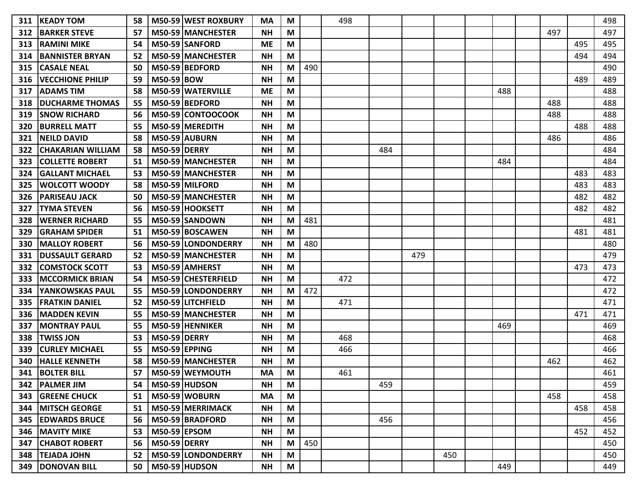| 311 | <b>KEADY TOM</b>         | 58 |                      | M50-59 WEST ROXBURY | MA        | M |     | 498 |     |     |     |     |     |     | 498 |
|-----|--------------------------|----|----------------------|---------------------|-----------|---|-----|-----|-----|-----|-----|-----|-----|-----|-----|
| 312 | <b>IBARKER STEVE</b>     | 57 |                      | M50-59 MANCHESTER   | <b>NH</b> | M |     |     |     |     |     |     | 497 |     | 497 |
| 313 | <b>RAMINI MIKE</b>       | 54 |                      | M50-59 SANFORD      | <b>ME</b> | М |     |     |     |     |     |     |     | 495 | 495 |
| 314 | <b>BANNISTER BRYAN</b>   | 52 |                      | M50-59 MANCHESTER   | <b>NH</b> | M |     |     |     |     |     |     |     | 494 | 494 |
| 315 | <b>CASALE NEAL</b>       | 50 |                      | M50-59 BEDFORD      | <b>NH</b> | M | 490 |     |     |     |     |     |     |     | 490 |
| 316 | <b>VECCHIONE PHILIP</b>  | 59 | M50-59 BOW           |                     | ΝH        | M |     |     |     |     |     |     |     | 489 | 489 |
| 317 | <b>IADAMS TIM</b>        | 58 |                      | M50-59 WATERVILLE   | ME        | M |     |     |     |     |     | 488 |     |     | 488 |
| 318 | <b>DUCHARME THOMAS</b>   | 55 |                      | M50-59 BEDFORD      | ΝH        | М |     |     |     |     |     |     | 488 |     | 488 |
| 319 | <b>SNOW RICHARD</b>      | 56 |                      | M50-59 CONTOOCOOK   | <b>NH</b> | M |     |     |     |     |     |     | 488 |     | 488 |
| 320 | <b>BURRELL MATT</b>      | 55 |                      | M50-59 MEREDITH     | <b>NH</b> | M |     |     |     |     |     |     |     | 488 | 488 |
| 321 | <b>NEILD DAVID</b>       | 58 |                      | M50-59 AUBURN       | <b>NH</b> | M |     |     |     |     |     |     | 486 |     | 486 |
| 322 | <b>CHAKARIAN WILLIAM</b> | 58 | <b>M50-59 DERRY</b>  |                     | ΝH        | M |     |     | 484 |     |     |     |     |     | 484 |
| 323 | <b>COLLETTE ROBERT</b>   | 51 |                      | M50-59 MANCHESTER   | ΝH        | М |     |     |     |     |     | 484 |     |     | 484 |
| 324 | <b>GALLANT MICHAEL</b>   | 53 |                      | M50-59 MANCHESTER   | ΝH        | M |     |     |     |     |     |     |     | 483 | 483 |
| 325 | IWOLCOTT WOODY           | 58 |                      | M50-59 MILFORD      | ΝH        | М |     |     |     |     |     |     |     | 483 | 483 |
| 326 | <b>PARISEAU JACK</b>     | 50 |                      | M50-59 MANCHESTER   | <b>NH</b> | M |     |     |     |     |     |     |     | 482 | 482 |
| 327 | <b>TYMA STEVEN</b>       | 56 |                      | M50-59 HOOKSETT     | ΝH        | М |     |     |     |     |     |     |     | 482 | 482 |
| 328 | <b>WERNER RICHARD</b>    | 55 |                      | M50-59 SANDOWN      | <b>NH</b> | М | 481 |     |     |     |     |     |     |     | 481 |
| 329 | <b>GRAHAM SPIDER</b>     | 51 |                      | M50-59 BOSCAWEN     | ΝH        | M |     |     |     |     |     |     |     | 481 | 481 |
| 330 | <b>MALLOY ROBERT</b>     | 56 |                      | M50-59 LONDONDERRY  | ΝH        | м | 480 |     |     |     |     |     |     |     | 480 |
| 331 | <b>IDUSSAULT GERARD</b>  | 52 |                      | M50-59 MANCHESTER   | <b>NH</b> | М |     |     |     | 479 |     |     |     |     | 479 |
| 332 | <b>COMSTOCK SCOTT</b>    | 53 |                      | M50-59 AMHERST      | <b>NH</b> | M |     |     |     |     |     |     |     | 473 | 473 |
| 333 | <b>MCCORMICK BRIAN</b>   | 54 |                      | M50-59 CHESTERFIELD | <b>NH</b> | M |     | 472 |     |     |     |     |     |     | 472 |
| 334 | YANKOWSKAS PAUL          | 55 |                      | M50-59 LONDONDERRY  | ΝH        | М | 472 |     |     |     |     |     |     |     | 472 |
| 335 | <b>FRATKIN DANIEL</b>    | 52 |                      | M50-59 LITCHFIELD   | <b>NH</b> | M |     | 471 |     |     |     |     |     |     | 471 |
| 336 | <b>IMADDEN KEVIN</b>     | 55 |                      | M50-59 MANCHESTER   | <b>NH</b> | M |     |     |     |     |     |     |     | 471 | 471 |
| 337 | MONTRAY PAUL             | 55 |                      | M50-59 HENNIKER     | ΝH        | M |     |     |     |     |     | 469 |     |     | 469 |
| 338 | <b>TWISS JON</b>         | 53 | <b>M50-59 DERRY</b>  |                     | <b>NH</b> | M |     | 468 |     |     |     |     |     |     | 468 |
| 339 | <b>CURLEY MICHAEL</b>    | 55 | <b>M50-59 EPPING</b> |                     | <b>NH</b> | M |     | 466 |     |     |     |     |     |     | 466 |
| 340 | <b>HALLE KENNETH</b>     | 58 |                      | M50-59 MANCHESTER   | <b>NH</b> | M |     |     |     |     |     |     | 462 |     | 462 |
| 341 | <b>BOLTER BILL</b>       | 57 |                      | M50-59 WEYMOUTH     | МA        | М |     | 461 |     |     |     |     |     |     | 461 |
|     | 342   PALMER JIM         | 54 |                      | M50-59 HUDSON       | <b>NH</b> | M |     |     | 459 |     |     |     |     |     | 459 |
|     | <b>343 GREENE CHUCK</b>  | 51 |                      | M50-59 WOBURN       | <b>MA</b> | M |     |     |     |     |     |     | 458 |     | 458 |
| 344 | <b>MITSCH GEORGE</b>     | 51 |                      | M50-59 MERRIMACK    | <b>NH</b> | M |     |     |     |     |     |     |     | 458 | 458 |
|     | <b>345 EDWARDS BRUCE</b> | 56 |                      | M50-59 BRADFORD     | <b>NH</b> | M |     |     | 456 |     |     |     |     |     | 456 |
|     | <b>346   MAVITY MIKE</b> | 53 | <b>M50-59 EPSOM</b>  |                     | <b>NH</b> | M |     |     |     |     |     |     |     | 452 | 452 |
| 347 | <b>CHABOT ROBERT</b>     | 56 | <b>M50-59 DERRY</b>  |                     | <b>NH</b> | M | 450 |     |     |     |     |     |     |     | 450 |
|     | 348   TEJADA JOHN        | 52 |                      | M50-59 LONDONDERRY  | <b>NH</b> | M |     |     |     |     | 450 |     |     |     | 450 |
|     | 349 DONOVAN BILL         | 50 |                      | $M50-59$ HUDSON     | <b>NH</b> | M |     |     |     |     |     | 449 |     |     | 449 |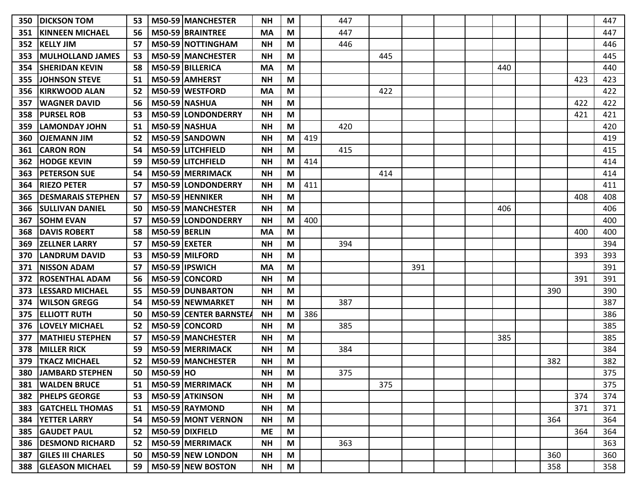| 350 | <b>DICKSON TOM</b>       | 53 |                      | M50-59 MANCHESTER        | <b>NH</b> | M |     | 447 |     |     |  |     |     |     | 447 |
|-----|--------------------------|----|----------------------|--------------------------|-----------|---|-----|-----|-----|-----|--|-----|-----|-----|-----|
| 351 | <b>KINNEEN MICHAEL</b>   | 56 |                      | M50-59 BRAINTREE         | <b>MA</b> | M |     | 447 |     |     |  |     |     |     | 447 |
| 352 | <b>KELLY JIM</b>         | 57 |                      | M50-59 NOTTINGHAM        | <b>NH</b> | M |     | 446 |     |     |  |     |     |     | 446 |
| 353 | <b>MULHOLLAND JAMES</b>  | 53 |                      | M50-59 MANCHESTER        | <b>NH</b> | M |     |     | 445 |     |  |     |     |     | 445 |
| 354 | <b>SHERIDAN KEVIN</b>    | 58 |                      | M50-59 BILLERICA         | MA        | M |     |     |     |     |  | 440 |     |     | 440 |
| 355 | <b>JOHNSON STEVE</b>     | 51 |                      | M50-59 AMHERST           | <b>NH</b> | M |     |     |     |     |  |     |     | 423 | 423 |
| 356 | <b>KIRKWOOD ALAN</b>     | 52 |                      | M50-59   WESTFORD        | MA        | M |     |     | 422 |     |  |     |     |     | 422 |
| 357 | <b>WAGNER DAVID</b>      | 56 |                      | <b>M50-59 NASHUA</b>     | <b>NH</b> | M |     |     |     |     |  |     |     | 422 | 422 |
| 358 | <b>PURSEL ROB</b>        | 53 |                      | M50-59 LONDONDERRY       | <b>NH</b> | M |     |     |     |     |  |     |     | 421 | 421 |
| 359 | <b>LAMONDAY JOHN</b>     | 51 |                      | M50-59 NASHUA            | <b>NH</b> | M |     | 420 |     |     |  |     |     |     | 420 |
| 360 | <b>OJEMANN JIM</b>       | 52 |                      | M50-59 SANDOWN           | <b>NH</b> | M | 419 |     |     |     |  |     |     |     | 419 |
| 361 | <b>CARON RON</b>         | 54 |                      | M50-59 LITCHFIELD        | <b>NH</b> | M |     | 415 |     |     |  |     |     |     | 415 |
| 362 | <b>HODGE KEVIN</b>       | 59 |                      | M50-59 LITCHFIELD        | <b>NH</b> | M | 414 |     |     |     |  |     |     |     | 414 |
| 363 | <b>PETERSON SUE</b>      | 54 |                      | M50-59 MERRIMACK         | NΗ        | M |     |     | 414 |     |  |     |     |     | 414 |
| 364 | <b>RIEZO PETER</b>       | 57 |                      | M50-59 LONDONDERRY       | <b>NH</b> | M | 411 |     |     |     |  |     |     |     | 411 |
| 365 | <b>DESMARAIS STEPHEN</b> | 57 |                      | M50-59 HENNIKER          | NΗ        | M |     |     |     |     |  |     |     | 408 | 408 |
| 366 | <b>SULLIVAN DANIEL</b>   | 50 |                      | M50-59 MANCHESTER        | <b>NH</b> | M |     |     |     |     |  | 406 |     |     | 406 |
| 367 | <b>SOHM EVAN</b>         | 57 |                      | M50-59 LONDONDERRY       | <b>NH</b> | M | 400 |     |     |     |  |     |     |     | 400 |
| 368 | <b>DAVIS ROBERT</b>      | 58 | <b>M50-59 BERLIN</b> |                          | <b>MA</b> | M |     |     |     |     |  |     |     | 400 | 400 |
| 369 | <b>ZELLNER LARRY</b>     | 57 | M50-59 EXETER        |                          | <b>NH</b> | M |     | 394 |     |     |  |     |     |     | 394 |
| 370 | <b>LANDRUM DAVID</b>     | 53 |                      | M50-59 MILFORD           | <b>NH</b> | M |     |     |     |     |  |     |     | 393 | 393 |
| 371 | <b>NISSON ADAM</b>       | 57 |                      | M50-59 IPSWICH           | <b>MA</b> | M |     |     |     | 391 |  |     |     |     | 391 |
| 372 | <b>ROSENTHAL ADAM</b>    | 56 |                      | M50-59 CONCORD           | <b>NH</b> | M |     |     |     |     |  |     |     | 391 | 391 |
| 373 | <b>LESSARD MICHAEL</b>   | 55 |                      | M50-59 DUNBARTON         | <b>NH</b> | M |     |     |     |     |  |     | 390 |     | 390 |
| 374 | <b>WILSON GREGG</b>      | 54 |                      | M50-59 NEWMARKET         | <b>NH</b> | M |     | 387 |     |     |  |     |     |     | 387 |
| 375 | <b>ELLIOTT RUTH</b>      | 50 |                      | M50-59 CENTER BARNSTE    | <b>NH</b> | M | 386 |     |     |     |  |     |     |     | 386 |
| 376 | <b>LOVELY MICHAEL</b>    | 52 |                      | M50-59 CONCORD           | <b>NH</b> | M |     | 385 |     |     |  |     |     |     | 385 |
| 377 | <b>MATHIEU STEPHEN</b>   | 57 |                      | <b>M50-59 MANCHESTER</b> | <b>NH</b> | M |     |     |     |     |  | 385 |     |     | 385 |
| 378 | <b>MILLER RICK</b>       | 59 |                      | M50-59 MERRIMACK         | <b>NH</b> | M |     | 384 |     |     |  |     |     |     | 384 |
| 379 | <b>TKACZ MICHAEL</b>     | 52 |                      | M50-59 MANCHESTER        | <b>NH</b> | M |     |     |     |     |  |     | 382 |     | 382 |
| 380 | <b>JAMBARD STEPHEN</b>   | 50 | $M50-59$ HO          |                          | <b>NH</b> | M |     | 375 |     |     |  |     |     |     | 375 |
| 381 | <b>WALDEN BRUCE</b>      | 51 |                      | M50-59 MERRIMACK         | <b>NH</b> | M |     |     | 375 |     |  |     |     |     | 375 |
| 382 | <b>PHELPS GEORGE</b>     | 53 |                      | M50-59 ATKINSON          | <b>NH</b> | M |     |     |     |     |  |     |     | 374 | 374 |
| 383 | <b>GATCHELL THOMAS</b>   | 51 |                      | M50-59 RAYMOND           | NΗ        | M |     |     |     |     |  |     |     | 371 | 371 |
| 384 | <b>YETTER LARRY</b>      | 54 |                      | M50-59 MONT VERNON       | <b>NH</b> | M |     |     |     |     |  |     | 364 |     | 364 |
| 385 | <b>GAUDET PAUL</b>       | 52 |                      | M50-59 DIXFIELD          | <b>ME</b> | M |     |     |     |     |  |     |     | 364 | 364 |
| 386 | <b>DESMOND RICHARD</b>   | 52 |                      | M50-59 MERRIMACK         | <b>NH</b> | M |     | 363 |     |     |  |     |     |     | 363 |
| 387 | <b>GILES III CHARLES</b> | 50 |                      | M50-59 NEW LONDON        | <b>NH</b> | M |     |     |     |     |  |     | 360 |     | 360 |
| 388 | <b>GLEASON MICHAEL</b>   | 59 |                      | M50-59 NEW BOSTON        | <b>NH</b> | M |     |     |     |     |  |     | 358 |     | 358 |